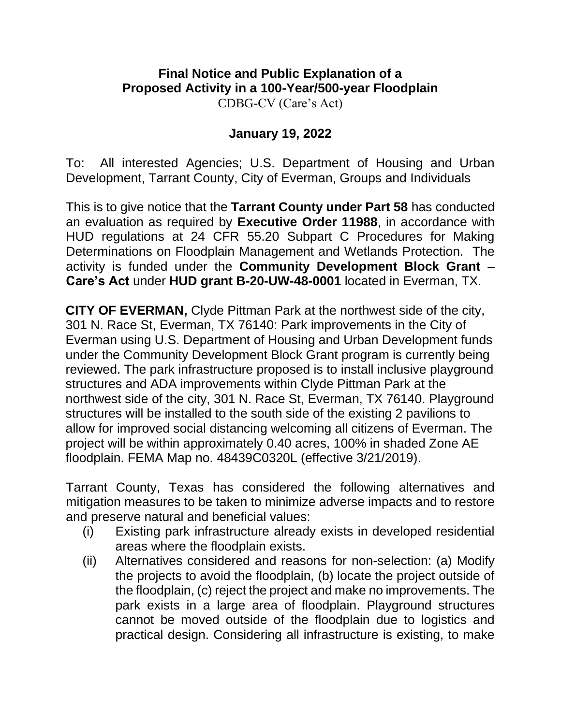## **Final Notice and Public Explanation of a Proposed Activity in a 100-Year/500-year Floodplain**  CDBG-CV (Care's Act)

## **January 19, 2022**

To: All interested Agencies; U.S. Department of Housing and Urban Development, Tarrant County, City of Everman, Groups and Individuals

This is to give notice that the **Tarrant County under Part 58** has conducted an evaluation as required by **Executive Order 11988**, in accordance with HUD regulations at 24 CFR 55.20 Subpart C Procedures for Making Determinations on Floodplain Management and Wetlands Protection. The activity is funded under the **Community Development Block Grant** – **Care's Act** under **HUD grant B-20-UW-48-0001** located in Everman, TX.

**CITY OF EVERMAN,** Clyde Pittman Park at the northwest side of the city, 301 N. Race St, Everman, TX 76140: Park improvements in the City of Everman using U.S. Department of Housing and Urban Development funds under the Community Development Block Grant program is currently being reviewed. The park infrastructure proposed is to install inclusive playground structures and ADA improvements within Clyde Pittman Park at the northwest side of the city, 301 N. Race St, Everman, TX 76140. Playground structures will be installed to the south side of the existing 2 pavilions to allow for improved social distancing welcoming all citizens of Everman. The project will be within approximately 0.40 acres, 100% in shaded Zone AE floodplain. FEMA Map no. 48439C0320L (effective 3/21/2019).

Tarrant County, Texas has considered the following alternatives and mitigation measures to be taken to minimize adverse impacts and to restore and preserve natural and beneficial values:

- (i) Existing park infrastructure already exists in developed residential areas where the floodplain exists.
- (ii) Alternatives considered and reasons for non-selection: (a) Modify the projects to avoid the floodplain, (b) locate the project outside of the floodplain, (c) reject the project and make no improvements. The park exists in a large area of floodplain. Playground structures cannot be moved outside of the floodplain due to logistics and practical design. Considering all infrastructure is existing, to make